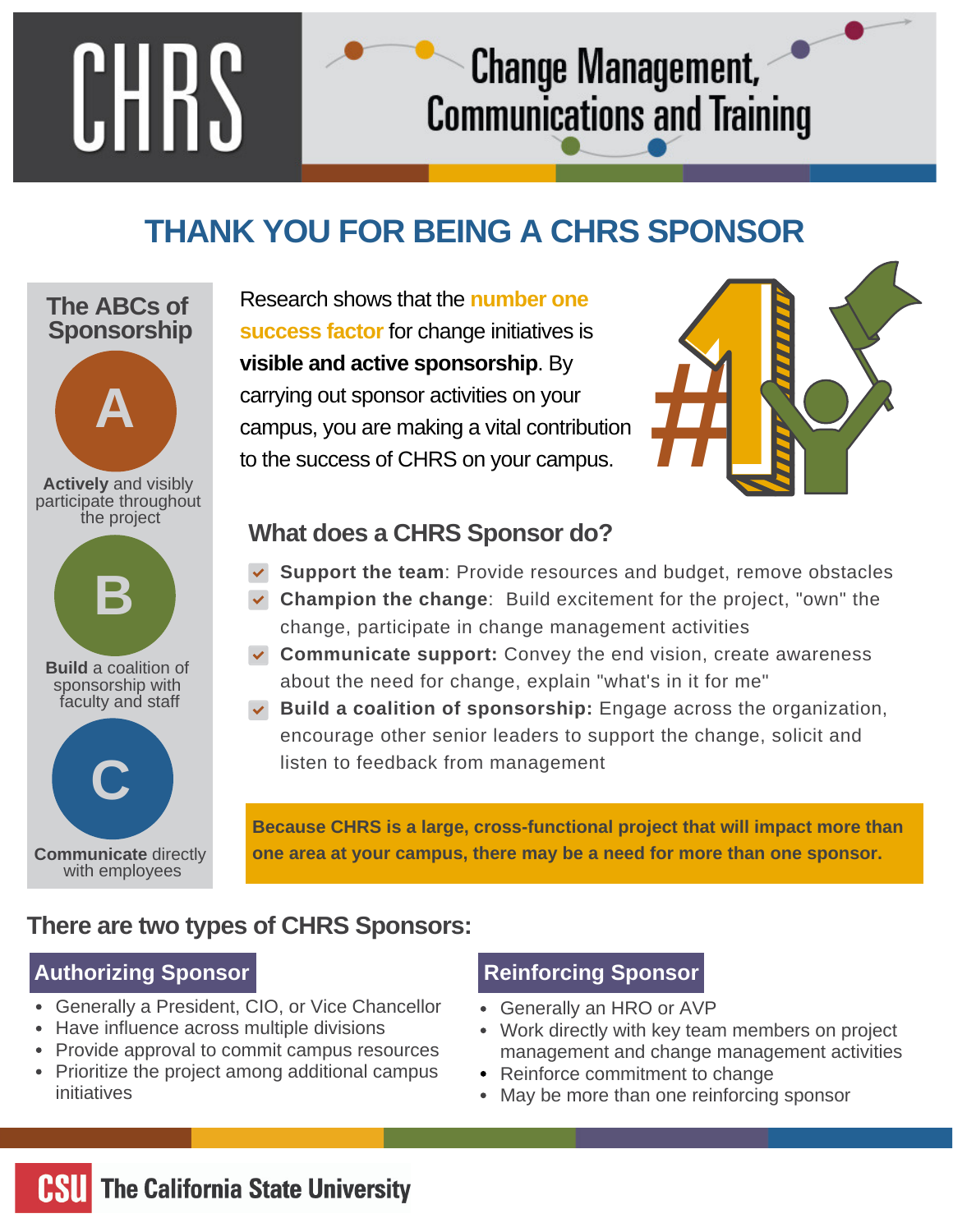# **CHRS**

## **THANK YOU FOR BEING A CHRS SPONSOR**

## **The ABCs of Sponsorship**



Research shows that the **number one success factor** for change initiatives is **visible and active sponsorship**. By carrying out sponsor activities on your campus, you are making a vital contribution to the success of CHRS on your campus.



## **What does a CHRS Sponsor do?**

 $\blacktriangledown$ **Support the team**: Provide resources and budget, remove obstacles

Change Management,

**Communications and Training** 

- **Champion the change**: Build excitement for the project, "own" the change, participate in change management activities
- **Communicate support:** Convey the end vision, create awareness about the need for change, explain "what's in it for me"
- **Build a coalition of sponsorship:** Engage across the organization, encourage other senior leaders to support the change, solicit and listen to feedback from management

**Because CHRS is a large, cross-functional project that will impact more than one area at your campus, there may be a need for more than one sponsor.**

## **There are two types of CHRS Sponsors:**

## **Authorizing Sponsor Reinforcing Sponsor**

- Generally a President, CIO, or Vice Chancellor
- Have influence across multiple divisions
- Provide approval to commit campus resources
- Prioritize the project among additional campus initiatives

- Generally an HRO or AVP  $\bullet$
- Work directly with key team members on project management and change management activities
- Reinforce commitment to change
- May be more than one reinforcing sponsor